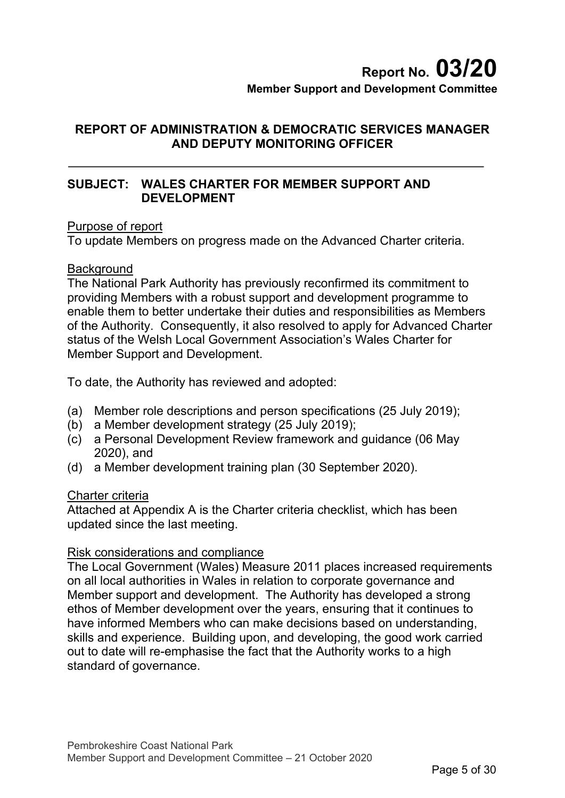# **Report No. 03/20 Member Support and Development Committee**

## **REPORT OF ADMINISTRATION & DEMOCRATIC SERVICES MANAGER AND DEPUTY MONITORING OFFICER**

## **SUBJECT: WALES CHARTER FOR MEMBER SUPPORT AND DEVELOPMENT**

#### Purpose of report

To update Members on progress made on the Advanced Charter criteria.

## **Background**

The National Park Authority has previously reconfirmed its commitment to providing Members with a robust support and development programme to enable them to better undertake their duties and responsibilities as Members of the Authority. Consequently, it also resolved to apply for Advanced Charter status of the Welsh Local Government Association's Wales Charter for Member Support and Development.

To date, the Authority has reviewed and adopted:

- (a) Member role descriptions and person specifications (25 July 2019);
- (b) a Member development strategy (25 July 2019);
- (c) a Personal Development Review framework and guidance (06 May 2020), and
- (d) a Member development training plan (30 September 2020).

#### Charter criteria

Attached at Appendix A is the Charter criteria checklist, which has been updated since the last meeting.

#### Risk considerations and compliance

The Local Government (Wales) Measure 2011 places increased requirements on all local authorities in Wales in relation to corporate governance and Member support and development. The Authority has developed a strong ethos of Member development over the years, ensuring that it continues to have informed Members who can make decisions based on understanding, skills and experience. Building upon, and developing, the good work carried out to date will re-emphasise the fact that the Authority works to a high standard of governance.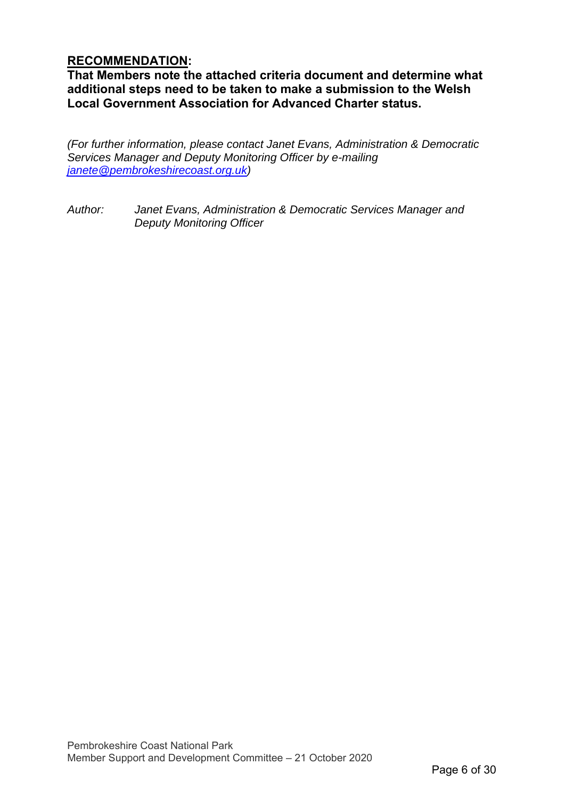## **RECOMMENDATION:**

**That Members note the attached criteria document and determine what additional steps need to be taken to make a submission to the Welsh Local Government Association for Advanced Charter status.** 

*(For further information, please contact Janet Evans, Administration & Democratic Services Manager and Deputy Monitoring Officer by e-mailing janete@pembrokeshirecoast.org.uk)* 

*Author: Janet Evans, Administration & Democratic Services Manager and Deputy Monitoring Officer*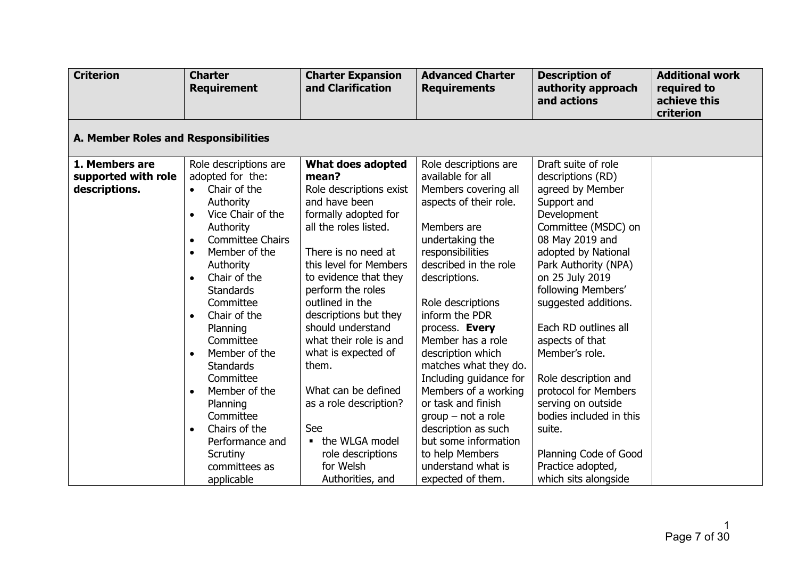| <b>Criterion</b>                     | <b>Charter</b><br><b>Requirement</b>           | <b>Charter Expansion</b><br>and Clarification | <b>Advanced Charter</b><br><b>Requirements</b> | <b>Description of</b><br>authority approach<br>and actions | <b>Additional work</b><br>required to<br>achieve this<br>criterion |  |  |  |  |
|--------------------------------------|------------------------------------------------|-----------------------------------------------|------------------------------------------------|------------------------------------------------------------|--------------------------------------------------------------------|--|--|--|--|
| A. Member Roles and Responsibilities |                                                |                                               |                                                |                                                            |                                                                    |  |  |  |  |
| 1. Members are                       | Role descriptions are                          | What does adopted                             | Role descriptions are                          | Draft suite of role                                        |                                                                    |  |  |  |  |
| supported with role                  | adopted for the:                               | mean?                                         | available for all                              | descriptions (RD)                                          |                                                                    |  |  |  |  |
| descriptions.                        | Chair of the                                   | Role descriptions exist                       | Members covering all                           | agreed by Member                                           |                                                                    |  |  |  |  |
|                                      | Authority                                      | and have been                                 | aspects of their role.                         | Support and                                                |                                                                    |  |  |  |  |
|                                      | Vice Chair of the<br>$\bullet$                 | formally adopted for                          |                                                | Development                                                |                                                                    |  |  |  |  |
|                                      | Authority                                      | all the roles listed.                         | Members are                                    | Committee (MSDC) on                                        |                                                                    |  |  |  |  |
|                                      | <b>Committee Chairs</b><br>$\bullet$           |                                               | undertaking the                                | 08 May 2019 and                                            |                                                                    |  |  |  |  |
|                                      | Member of the<br>$\bullet$                     | There is no need at                           | responsibilities                               | adopted by National                                        |                                                                    |  |  |  |  |
|                                      | Authority                                      | this level for Members                        | described in the role                          | Park Authority (NPA)                                       |                                                                    |  |  |  |  |
|                                      | Chair of the<br>$\bullet$                      | to evidence that they                         | descriptions.                                  | on 25 July 2019                                            |                                                                    |  |  |  |  |
|                                      | <b>Standards</b>                               | perform the roles                             |                                                | following Members'                                         |                                                                    |  |  |  |  |
|                                      | Committee                                      | outlined in the                               | Role descriptions                              | suggested additions.                                       |                                                                    |  |  |  |  |
|                                      | Chair of the<br>$\bullet$                      | descriptions but they                         | inform the PDR                                 |                                                            |                                                                    |  |  |  |  |
|                                      | Planning                                       | should understand                             | process. Every                                 | Each RD outlines all                                       |                                                                    |  |  |  |  |
|                                      | Committee                                      | what their role is and                        | Member has a role                              | aspects of that                                            |                                                                    |  |  |  |  |
|                                      | Member of the<br>$\bullet$<br><b>Standards</b> | what is expected of<br>them.                  | description which<br>matches what they do.     | Member's role.                                             |                                                                    |  |  |  |  |
|                                      | Committee                                      |                                               | Including guidance for                         | Role description and                                       |                                                                    |  |  |  |  |
|                                      | Member of the<br>$\bullet$                     | What can be defined                           | Members of a working                           | protocol for Members                                       |                                                                    |  |  |  |  |
|                                      | Planning                                       | as a role description?                        | or task and finish                             | serving on outside                                         |                                                                    |  |  |  |  |
|                                      | Committee                                      |                                               | $group - not a role$                           | bodies included in this                                    |                                                                    |  |  |  |  |
|                                      | Chairs of the<br>$\bullet$                     | See                                           | description as such                            | suite.                                                     |                                                                    |  |  |  |  |
|                                      | Performance and                                | • the WLGA model                              | but some information                           |                                                            |                                                                    |  |  |  |  |
|                                      | Scrutiny                                       | role descriptions                             | to help Members                                | Planning Code of Good                                      |                                                                    |  |  |  |  |
|                                      | committees as                                  | for Welsh                                     | understand what is                             | Practice adopted,                                          |                                                                    |  |  |  |  |
|                                      | applicable                                     | Authorities, and                              | expected of them.                              | which sits alongside                                       |                                                                    |  |  |  |  |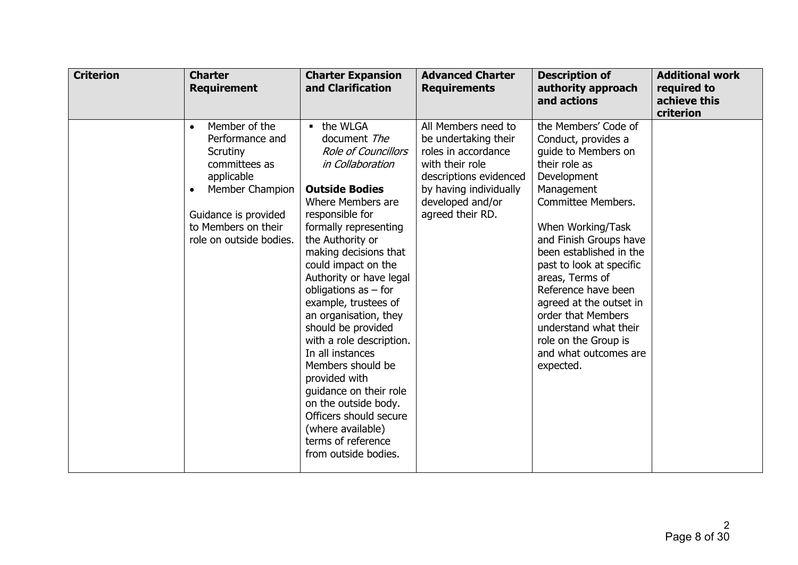| <b>Criterion</b> | <b>Charter</b><br><b>Requirement</b>                                                                                                                                                               | <b>Charter Expansion</b><br>and Clarification                                                                                                                                                                                                                                                                                                                                                                                                                                                                                                                                                                      | <b>Advanced Charter</b><br><b>Requirements</b>                                                                                                                                    | <b>Description of</b><br>authority approach<br>and actions                                                                                                                                                                                                                                                                                                                                                                            | <b>Additional work</b><br>required to<br>achieve this<br>criterion |
|------------------|----------------------------------------------------------------------------------------------------------------------------------------------------------------------------------------------------|--------------------------------------------------------------------------------------------------------------------------------------------------------------------------------------------------------------------------------------------------------------------------------------------------------------------------------------------------------------------------------------------------------------------------------------------------------------------------------------------------------------------------------------------------------------------------------------------------------------------|-----------------------------------------------------------------------------------------------------------------------------------------------------------------------------------|---------------------------------------------------------------------------------------------------------------------------------------------------------------------------------------------------------------------------------------------------------------------------------------------------------------------------------------------------------------------------------------------------------------------------------------|--------------------------------------------------------------------|
|                  | Member of the<br>$\bullet$<br>Performance and<br>Scrutiny<br>committees as<br>applicable<br>Member Champion<br>$\bullet$<br>Guidance is provided<br>to Members on their<br>role on outside bodies. | - the WLGA<br>document The<br><b>Role of Councillors</b><br><i>in Collaboration</i><br><b>Outside Bodies</b><br>Where Members are<br>responsible for<br>formally representing<br>the Authority or<br>making decisions that<br>could impact on the<br>Authority or have legal<br>obligations as $-$ for<br>example, trustees of<br>an organisation, they<br>should be provided<br>with a role description.<br>In all instances<br>Members should be<br>provided with<br>guidance on their role<br>on the outside body.<br>Officers should secure<br>(where available)<br>terms of reference<br>from outside bodies. | All Members need to<br>be undertaking their<br>roles in accordance<br>with their role<br>descriptions evidenced<br>by having individually<br>developed and/or<br>agreed their RD. | the Members' Code of<br>Conduct, provides a<br>guide to Members on<br>their role as<br>Development<br>Management<br><b>Committee Members.</b><br>When Working/Task<br>and Finish Groups have<br>been established in the<br>past to look at specific<br>areas, Terms of<br>Reference have been<br>agreed at the outset in<br>order that Members<br>understand what their<br>role on the Group is<br>and what outcomes are<br>expected. |                                                                    |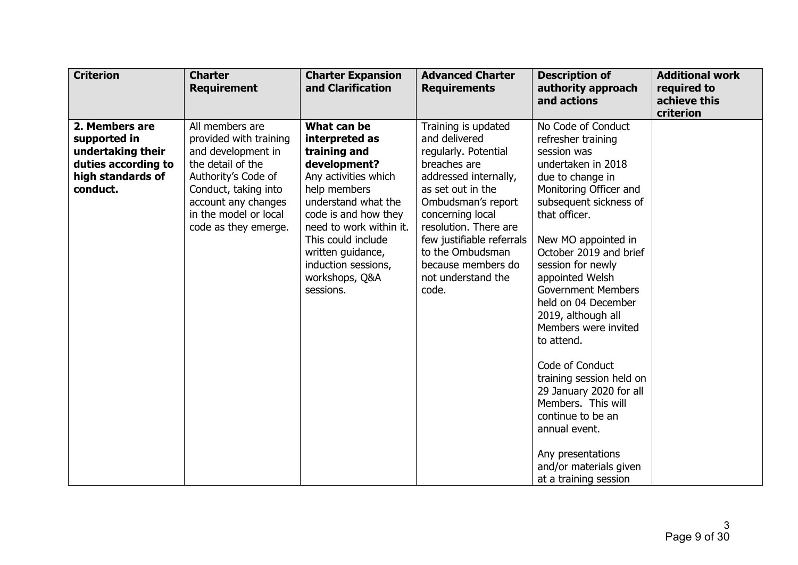| <b>Criterion</b>                                                                                            | <b>Charter</b><br><b>Requirement</b>                                                                                                                                                                        | <b>Charter Expansion</b><br>and Clarification                                                                                                                                                                                                                                    | <b>Advanced Charter</b><br><b>Requirements</b>                                                                                                                                                                                                                                                      | <b>Description of</b><br>authority approach<br>and actions                                                                                                                                                                                                                                                                                                                                                                                                                                                                                                                                    | <b>Additional work</b><br>required to<br>achieve this<br>criterion |
|-------------------------------------------------------------------------------------------------------------|-------------------------------------------------------------------------------------------------------------------------------------------------------------------------------------------------------------|----------------------------------------------------------------------------------------------------------------------------------------------------------------------------------------------------------------------------------------------------------------------------------|-----------------------------------------------------------------------------------------------------------------------------------------------------------------------------------------------------------------------------------------------------------------------------------------------------|-----------------------------------------------------------------------------------------------------------------------------------------------------------------------------------------------------------------------------------------------------------------------------------------------------------------------------------------------------------------------------------------------------------------------------------------------------------------------------------------------------------------------------------------------------------------------------------------------|--------------------------------------------------------------------|
| 2. Members are<br>supported in<br>undertaking their<br>duties according to<br>high standards of<br>conduct. | All members are<br>provided with training<br>and development in<br>the detail of the<br>Authority's Code of<br>Conduct, taking into<br>account any changes<br>in the model or local<br>code as they emerge. | What can be<br>interpreted as<br>training and<br>development?<br>Any activities which<br>help members<br>understand what the<br>code is and how they<br>need to work within it.<br>This could include<br>written guidance,<br>induction sessions,<br>workshops, Q&A<br>sessions. | Training is updated<br>and delivered<br>regularly. Potential<br>breaches are<br>addressed internally,<br>as set out in the<br>Ombudsman's report<br>concerning local<br>resolution. There are<br>few justifiable referrals<br>to the Ombudsman<br>because members do<br>not understand the<br>code. | No Code of Conduct<br>refresher training<br>session was<br>undertaken in 2018<br>due to change in<br>Monitoring Officer and<br>subsequent sickness of<br>that officer.<br>New MO appointed in<br>October 2019 and brief<br>session for newly<br>appointed Welsh<br><b>Government Members</b><br>held on 04 December<br>2019, although all<br>Members were invited<br>to attend.<br>Code of Conduct<br>training session held on<br>29 January 2020 for all<br>Members. This will<br>continue to be an<br>annual event.<br>Any presentations<br>and/or materials given<br>at a training session |                                                                    |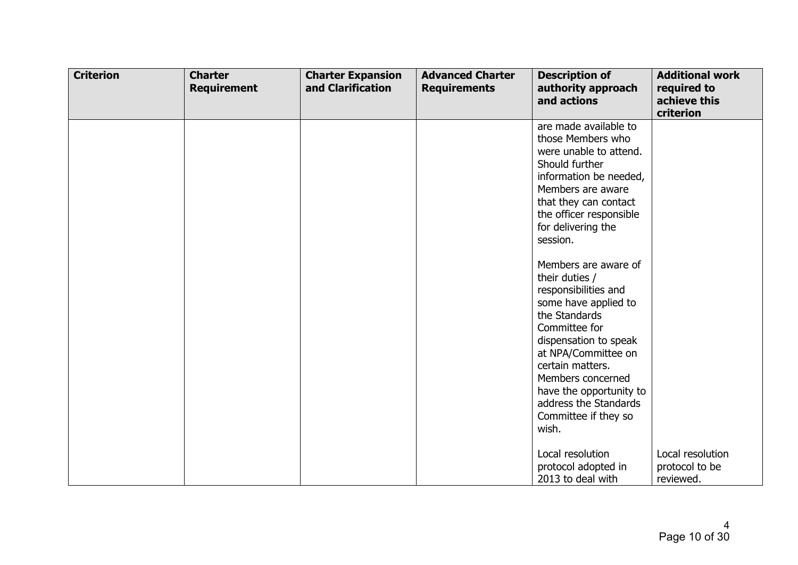| <b>Criterion</b> | <b>Charter</b><br><b>Requirement</b> | <b>Charter Expansion</b><br>and Clarification | <b>Advanced Charter</b><br><b>Requirements</b> | <b>Description of</b><br>authority approach<br>and actions                                                                                                                                                                                                                     | <b>Additional work</b><br>required to<br>achieve this<br>criterion |
|------------------|--------------------------------------|-----------------------------------------------|------------------------------------------------|--------------------------------------------------------------------------------------------------------------------------------------------------------------------------------------------------------------------------------------------------------------------------------|--------------------------------------------------------------------|
|                  |                                      |                                               |                                                | are made available to<br>those Members who<br>were unable to attend.<br>Should further<br>information be needed,<br>Members are aware<br>that they can contact<br>the officer responsible<br>for delivering the<br>session.<br>Members are aware of                            |                                                                    |
|                  |                                      |                                               |                                                | their duties /<br>responsibilities and<br>some have applied to<br>the Standards<br>Committee for<br>dispensation to speak<br>at NPA/Committee on<br>certain matters.<br>Members concerned<br>have the opportunity to<br>address the Standards<br>Committee if they so<br>wish. |                                                                    |
|                  |                                      |                                               |                                                | Local resolution<br>protocol adopted in<br>2013 to deal with                                                                                                                                                                                                                   | Local resolution<br>protocol to be<br>reviewed.                    |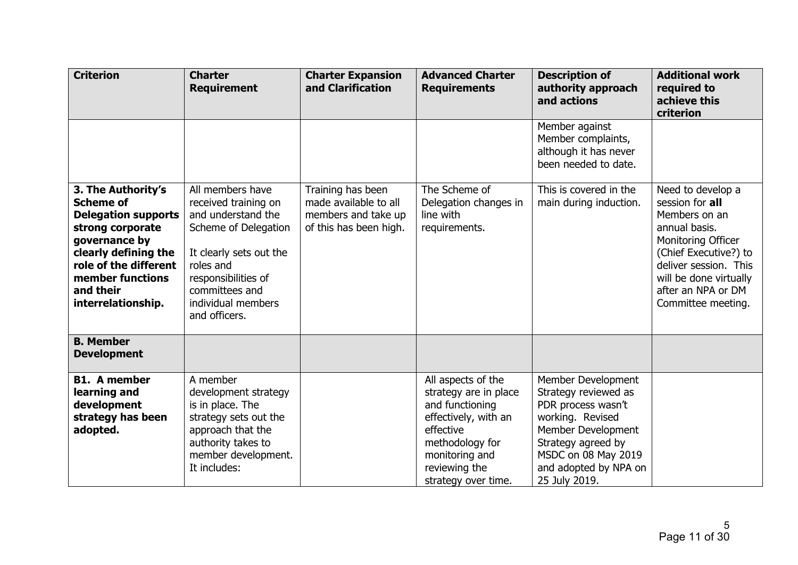| <b>Criterion</b>                                                                                                                                                                                                  | <b>Charter</b><br><b>Requirement</b>                                                                                                                                                                           | <b>Charter Expansion</b><br>and Clarification                                               | <b>Advanced Charter</b><br><b>Requirements</b>                                                                                                                                   | <b>Description of</b><br>authority approach<br>and actions                                                                                                                                        | <b>Additional work</b><br>required to<br>achieve this<br>criterion                                                                                                                                                   |
|-------------------------------------------------------------------------------------------------------------------------------------------------------------------------------------------------------------------|----------------------------------------------------------------------------------------------------------------------------------------------------------------------------------------------------------------|---------------------------------------------------------------------------------------------|----------------------------------------------------------------------------------------------------------------------------------------------------------------------------------|---------------------------------------------------------------------------------------------------------------------------------------------------------------------------------------------------|----------------------------------------------------------------------------------------------------------------------------------------------------------------------------------------------------------------------|
|                                                                                                                                                                                                                   |                                                                                                                                                                                                                |                                                                                             |                                                                                                                                                                                  | Member against<br>Member complaints,<br>although it has never<br>been needed to date.                                                                                                             |                                                                                                                                                                                                                      |
| 3. The Authority's<br><b>Scheme of</b><br><b>Delegation supports</b><br>strong corporate<br>governance by<br>clearly defining the<br>role of the different<br>member functions<br>and their<br>interrelationship. | All members have<br>received training on<br>and understand the<br>Scheme of Delegation<br>It clearly sets out the<br>roles and<br>responsibilities of<br>committees and<br>individual members<br>and officers. | Training has been<br>made available to all<br>members and take up<br>of this has been high. | The Scheme of<br>Delegation changes in<br>line with<br>requirements.                                                                                                             | This is covered in the<br>main during induction.                                                                                                                                                  | Need to develop a<br>session for all<br>Members on an<br>annual basis.<br>Monitoring Officer<br>(Chief Executive?) to<br>deliver session. This<br>will be done virtually<br>after an NPA or DM<br>Committee meeting. |
| <b>B. Member</b><br><b>Development</b>                                                                                                                                                                            |                                                                                                                                                                                                                |                                                                                             |                                                                                                                                                                                  |                                                                                                                                                                                                   |                                                                                                                                                                                                                      |
| <b>B1.</b> A member<br>learning and<br>development<br>strategy has been<br>adopted.                                                                                                                               | A member<br>development strategy<br>is in place. The<br>strategy sets out the<br>approach that the<br>authority takes to<br>member development.<br>It includes:                                                |                                                                                             | All aspects of the<br>strategy are in place<br>and functioning<br>effectively, with an<br>effective<br>methodology for<br>monitoring and<br>reviewing the<br>strategy over time. | Member Development<br>Strategy reviewed as<br>PDR process wasn't<br>working. Revised<br>Member Development<br>Strategy agreed by<br>MSDC on 08 May 2019<br>and adopted by NPA on<br>25 July 2019. |                                                                                                                                                                                                                      |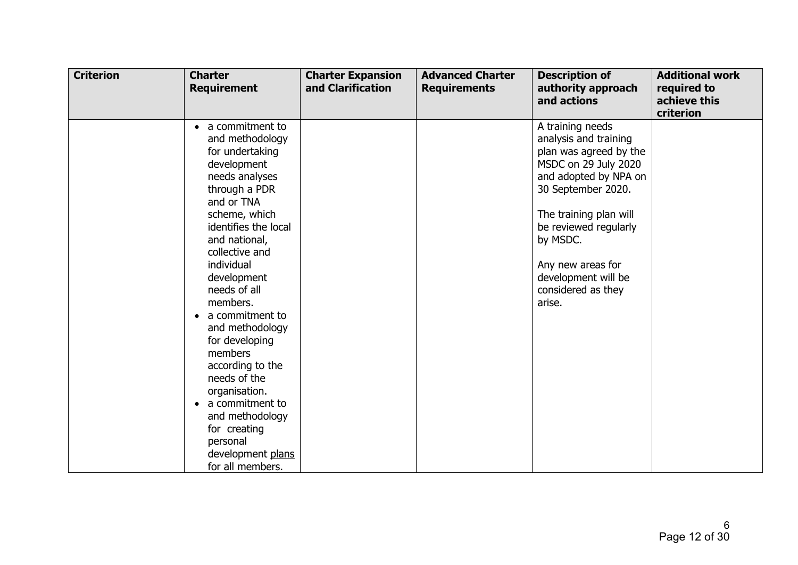| <b>Criterion</b> | <b>Charter</b><br><b>Requirement</b>                                                                                                                                                                                                                                                                                                                                                                                                                                                          | <b>Charter Expansion</b><br>and Clarification | <b>Advanced Charter</b><br><b>Requirements</b> | <b>Description of</b><br>authority approach<br>and actions                                                                                                                                                                                                                            | <b>Additional work</b><br>required to<br>achieve this<br>criterion |
|------------------|-----------------------------------------------------------------------------------------------------------------------------------------------------------------------------------------------------------------------------------------------------------------------------------------------------------------------------------------------------------------------------------------------------------------------------------------------------------------------------------------------|-----------------------------------------------|------------------------------------------------|---------------------------------------------------------------------------------------------------------------------------------------------------------------------------------------------------------------------------------------------------------------------------------------|--------------------------------------------------------------------|
|                  | a commitment to<br>and methodology<br>for undertaking<br>development<br>needs analyses<br>through a PDR<br>and or TNA<br>scheme, which<br>identifies the local<br>and national,<br>collective and<br>individual<br>development<br>needs of all<br>members.<br>a commitment to<br>and methodology<br>for developing<br>members<br>according to the<br>needs of the<br>organisation.<br>a commitment to<br>and methodology<br>for creating<br>personal<br>development plans<br>for all members. |                                               |                                                | A training needs<br>analysis and training<br>plan was agreed by the<br>MSDC on 29 July 2020<br>and adopted by NPA on<br>30 September 2020.<br>The training plan will<br>be reviewed regularly<br>by MSDC.<br>Any new areas for<br>development will be<br>considered as they<br>arise. |                                                                    |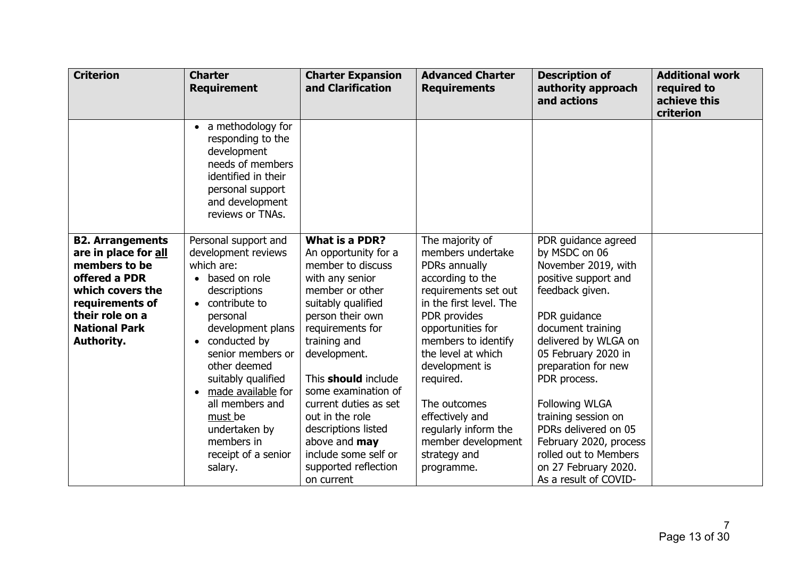| <b>Criterion</b>                                                                                                                                                                  | <b>Charter</b><br><b>Requirement</b>                                                                                                                                                                                                                                                                                                         | <b>Charter Expansion</b><br>and Clarification                                                                                                                                                                                                                                                                                                                                                   | <b>Advanced Charter</b><br><b>Requirements</b>                                                                                                                                                                                                                                                                                                               | <b>Description of</b><br>authority approach<br>and actions                                                                                                                                                                                                                                                                                                                                                    | <b>Additional work</b><br>required to<br>achieve this<br>criterion |
|-----------------------------------------------------------------------------------------------------------------------------------------------------------------------------------|----------------------------------------------------------------------------------------------------------------------------------------------------------------------------------------------------------------------------------------------------------------------------------------------------------------------------------------------|-------------------------------------------------------------------------------------------------------------------------------------------------------------------------------------------------------------------------------------------------------------------------------------------------------------------------------------------------------------------------------------------------|--------------------------------------------------------------------------------------------------------------------------------------------------------------------------------------------------------------------------------------------------------------------------------------------------------------------------------------------------------------|---------------------------------------------------------------------------------------------------------------------------------------------------------------------------------------------------------------------------------------------------------------------------------------------------------------------------------------------------------------------------------------------------------------|--------------------------------------------------------------------|
|                                                                                                                                                                                   | • a methodology for<br>responding to the<br>development<br>needs of members<br>identified in their<br>personal support<br>and development<br>reviews or TNAs.                                                                                                                                                                                |                                                                                                                                                                                                                                                                                                                                                                                                 |                                                                                                                                                                                                                                                                                                                                                              |                                                                                                                                                                                                                                                                                                                                                                                                               |                                                                    |
| <b>B2. Arrangements</b><br>are in place for all<br>members to be<br>offered a PDR<br>which covers the<br>requirements of<br>their role on a<br><b>National Park</b><br>Authority. | Personal support and<br>development reviews<br>which are:<br>based on role<br>descriptions<br>contribute to<br>personal<br>development plans<br>conducted by<br>senior members or<br>other deemed<br>suitably qualified<br>made available for<br>all members and<br>must be<br>undertaken by<br>members in<br>receipt of a senior<br>salary. | <b>What is a PDR?</b><br>An opportunity for a<br>member to discuss<br>with any senior<br>member or other<br>suitably qualified<br>person their own<br>requirements for<br>training and<br>development.<br>This <b>should</b> include<br>some examination of<br>current duties as set<br>out in the role<br>descriptions listed<br>above and may<br>include some self or<br>supported reflection | The majority of<br>members undertake<br>PDRs annually<br>according to the<br>requirements set out<br>in the first level. The<br>PDR provides<br>opportunities for<br>members to identify<br>the level at which<br>development is<br>required.<br>The outcomes<br>effectively and<br>regularly inform the<br>member development<br>strategy and<br>programme. | PDR guidance agreed<br>by MSDC on 06<br>November 2019, with<br>positive support and<br>feedback given.<br>PDR guidance<br>document training<br>delivered by WLGA on<br>05 February 2020 in<br>preparation for new<br>PDR process.<br><b>Following WLGA</b><br>training session on<br>PDRs delivered on 05<br>February 2020, process<br>rolled out to Members<br>on 27 February 2020.<br>As a result of COVID- |                                                                    |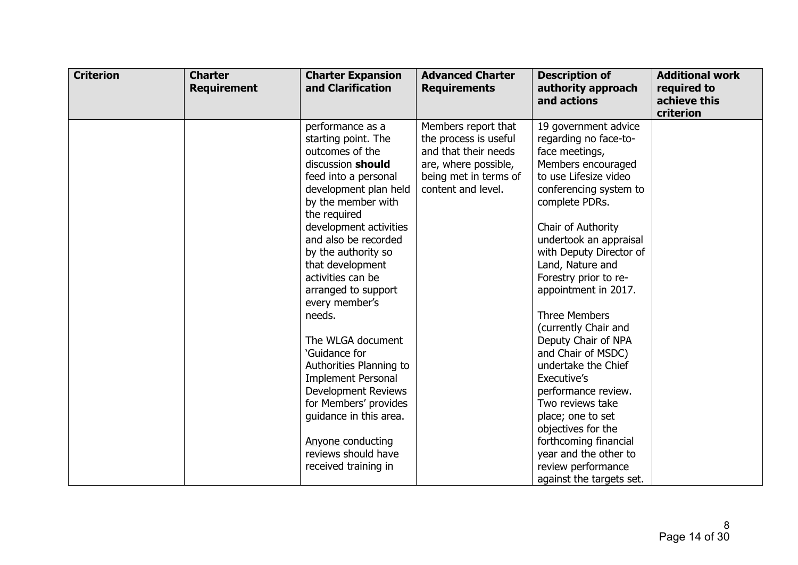| <b>Criterion</b> | <b>Charter</b><br><b>Requirement</b> | <b>Charter Expansion</b><br>and Clarification                                                                                                                                                                                                                                                                                                                                                                                                                                                                                                                                                         | <b>Advanced Charter</b><br><b>Requirements</b>                                                                                              | <b>Description of</b><br>authority approach<br>and actions                                                                                                                                                                                                                                                                                                                                                                                                                                                                                                                                                                       | <b>Additional work</b><br>required to<br>achieve this<br>criterion |
|------------------|--------------------------------------|-------------------------------------------------------------------------------------------------------------------------------------------------------------------------------------------------------------------------------------------------------------------------------------------------------------------------------------------------------------------------------------------------------------------------------------------------------------------------------------------------------------------------------------------------------------------------------------------------------|---------------------------------------------------------------------------------------------------------------------------------------------|----------------------------------------------------------------------------------------------------------------------------------------------------------------------------------------------------------------------------------------------------------------------------------------------------------------------------------------------------------------------------------------------------------------------------------------------------------------------------------------------------------------------------------------------------------------------------------------------------------------------------------|--------------------------------------------------------------------|
|                  |                                      | performance as a<br>starting point. The<br>outcomes of the<br>discussion should<br>feed into a personal<br>development plan held<br>by the member with<br>the required<br>development activities<br>and also be recorded<br>by the authority so<br>that development<br>activities can be<br>arranged to support<br>every member's<br>needs.<br>The WLGA document<br>'Guidance for<br>Authorities Planning to<br><b>Implement Personal</b><br><b>Development Reviews</b><br>for Members' provides<br>guidance in this area.<br><b>Anyone conducting</b><br>reviews should have<br>received training in | Members report that<br>the process is useful<br>and that their needs<br>are, where possible,<br>being met in terms of<br>content and level. | 19 government advice<br>regarding no face-to-<br>face meetings,<br>Members encouraged<br>to use Lifesize video<br>conferencing system to<br>complete PDRs.<br>Chair of Authority<br>undertook an appraisal<br>with Deputy Director of<br>Land, Nature and<br>Forestry prior to re-<br>appointment in 2017.<br>Three Members<br>(currently Chair and<br>Deputy Chair of NPA<br>and Chair of MSDC)<br>undertake the Chief<br>Executive's<br>performance review.<br>Two reviews take<br>place; one to set<br>objectives for the<br>forthcoming financial<br>year and the other to<br>review performance<br>against the targets set. |                                                                    |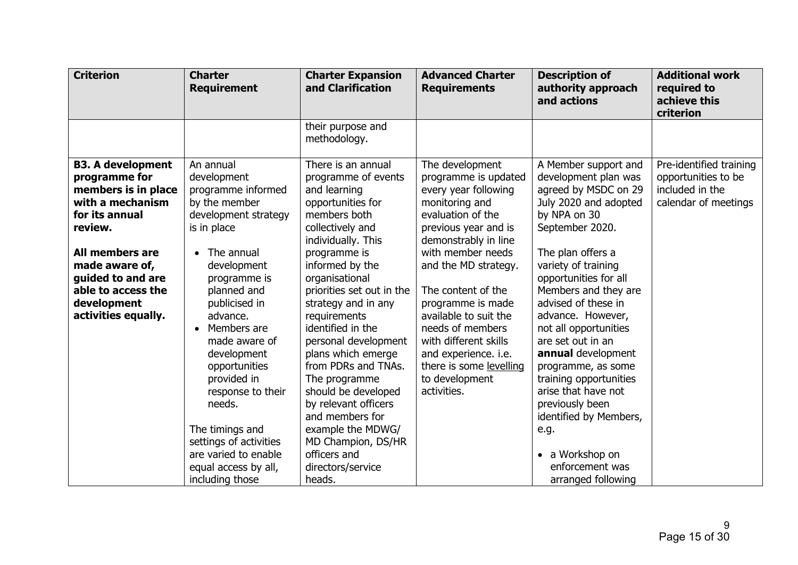| <b>Criterion</b>                                                                                                                                                                                                                        | <b>Charter</b><br><b>Requirement</b>                                                                                                                                                                                                                                                                                                                                                                                                    | <b>Charter Expansion</b><br>and Clarification                                                                                                                                                                                                                                                                                                                                                                                                                                                                                            | <b>Advanced Charter</b><br><b>Requirements</b>                                                                                                                                                                                                                                                                                                                                                           | <b>Description of</b><br>authority approach<br>and actions                                                                                                                                                                                                                                                                                                                                                                                                                                                                          | <b>Additional work</b><br>required to<br>achieve this<br>criterion                        |
|-----------------------------------------------------------------------------------------------------------------------------------------------------------------------------------------------------------------------------------------|-----------------------------------------------------------------------------------------------------------------------------------------------------------------------------------------------------------------------------------------------------------------------------------------------------------------------------------------------------------------------------------------------------------------------------------------|------------------------------------------------------------------------------------------------------------------------------------------------------------------------------------------------------------------------------------------------------------------------------------------------------------------------------------------------------------------------------------------------------------------------------------------------------------------------------------------------------------------------------------------|----------------------------------------------------------------------------------------------------------------------------------------------------------------------------------------------------------------------------------------------------------------------------------------------------------------------------------------------------------------------------------------------------------|-------------------------------------------------------------------------------------------------------------------------------------------------------------------------------------------------------------------------------------------------------------------------------------------------------------------------------------------------------------------------------------------------------------------------------------------------------------------------------------------------------------------------------------|-------------------------------------------------------------------------------------------|
|                                                                                                                                                                                                                                         |                                                                                                                                                                                                                                                                                                                                                                                                                                         | their purpose and<br>methodology.                                                                                                                                                                                                                                                                                                                                                                                                                                                                                                        |                                                                                                                                                                                                                                                                                                                                                                                                          |                                                                                                                                                                                                                                                                                                                                                                                                                                                                                                                                     |                                                                                           |
| <b>B3. A development</b><br>programme for<br>members is in place<br>with a mechanism<br>for its annual<br>review.<br>All members are<br>made aware of,<br>guided to and are<br>able to access the<br>development<br>activities equally. | An annual<br>development<br>programme informed<br>by the member<br>development strategy<br>is in place<br>$\bullet$ The annual<br>development<br>programme is<br>planned and<br>publicised in<br>advance.<br>Members are<br>made aware of<br>development<br>opportunities<br>provided in<br>response to their<br>needs.<br>The timings and<br>settings of activities<br>are varied to enable<br>equal access by all,<br>including those | There is an annual<br>programme of events<br>and learning<br>opportunities for<br>members both<br>collectively and<br>individually. This<br>programme is<br>informed by the<br>organisational<br>priorities set out in the<br>strategy and in any<br>requirements<br>identified in the<br>personal development<br>plans which emerge<br>from PDRs and TNAs.<br>The programme<br>should be developed<br>by relevant officers<br>and members for<br>example the MDWG/<br>MD Champion, DS/HR<br>officers and<br>directors/service<br>heads. | The development<br>programme is updated<br>every year following<br>monitoring and<br>evaluation of the<br>previous year and is<br>demonstrably in line<br>with member needs<br>and the MD strategy.<br>The content of the<br>programme is made<br>available to suit the<br>needs of members<br>with different skills<br>and experience. i.e.<br>there is some levelling<br>to development<br>activities. | A Member support and<br>development plan was<br>agreed by MSDC on 29<br>July 2020 and adopted<br>by NPA on 30<br>September 2020.<br>The plan offers a<br>variety of training<br>opportunities for all<br>Members and they are<br>advised of these in<br>advance. However,<br>not all opportunities<br>are set out in an<br>annual development<br>programme, as some<br>training opportunities<br>arise that have not<br>previously been<br>identified by Members,<br>e.g.<br>a Workshop on<br>enforcement was<br>arranged following | Pre-identified training<br>opportunities to be<br>included in the<br>calendar of meetings |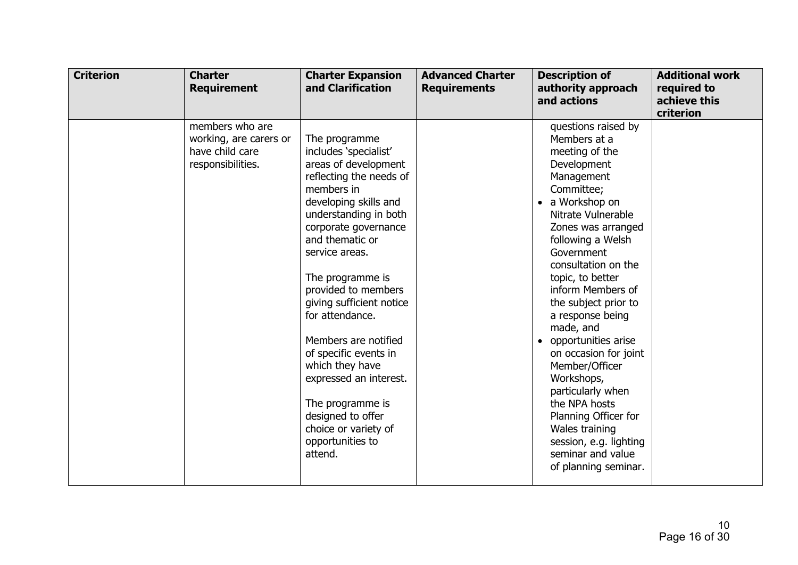| <b>Criterion</b> | <b>Charter</b><br><b>Requirement</b>                                              | <b>Charter Expansion</b><br>and Clarification                                                                                                                                                                                                                                                                                                                                                                                                                                                                  | <b>Advanced Charter</b><br><b>Requirements</b> | <b>Description of</b><br>authority approach<br>and actions                                                                                                                                                                                                                                                                                                                                                                                                                                                                                                       | <b>Additional work</b><br>required to<br>achieve this<br>criterion |
|------------------|-----------------------------------------------------------------------------------|----------------------------------------------------------------------------------------------------------------------------------------------------------------------------------------------------------------------------------------------------------------------------------------------------------------------------------------------------------------------------------------------------------------------------------------------------------------------------------------------------------------|------------------------------------------------|------------------------------------------------------------------------------------------------------------------------------------------------------------------------------------------------------------------------------------------------------------------------------------------------------------------------------------------------------------------------------------------------------------------------------------------------------------------------------------------------------------------------------------------------------------------|--------------------------------------------------------------------|
|                  | members who are<br>working, are carers or<br>have child care<br>responsibilities. | The programme<br>includes 'specialist'<br>areas of development<br>reflecting the needs of<br>members in<br>developing skills and<br>understanding in both<br>corporate governance<br>and thematic or<br>service areas.<br>The programme is<br>provided to members<br>giving sufficient notice<br>for attendance.<br>Members are notified<br>of specific events in<br>which they have<br>expressed an interest.<br>The programme is<br>designed to offer<br>choice or variety of<br>opportunities to<br>attend. |                                                | questions raised by<br>Members at a<br>meeting of the<br>Development<br>Management<br>Committee;<br>a Workshop on<br>Nitrate Vulnerable<br>Zones was arranged<br>following a Welsh<br>Government<br>consultation on the<br>topic, to better<br>inform Members of<br>the subject prior to<br>a response being<br>made, and<br>opportunities arise<br>on occasion for joint<br>Member/Officer<br>Workshops,<br>particularly when<br>the NPA hosts<br>Planning Officer for<br>Wales training<br>session, e.g. lighting<br>seminar and value<br>of planning seminar. |                                                                    |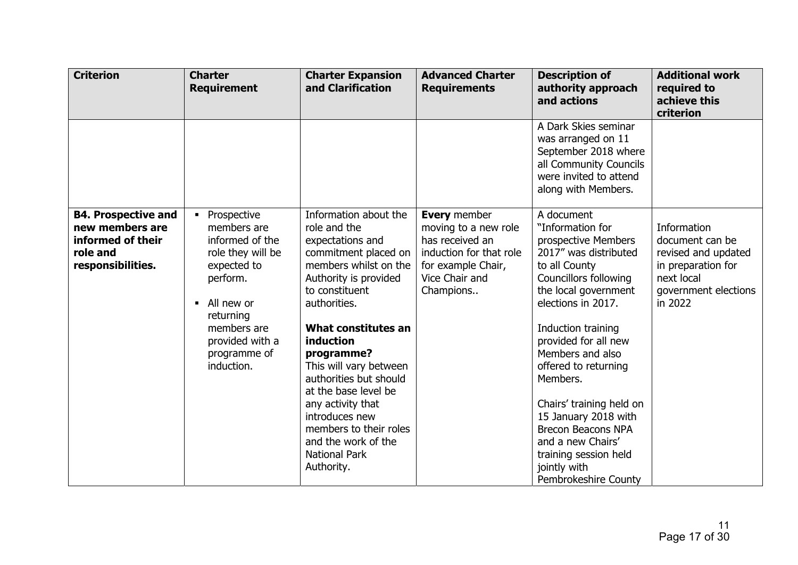| <b>Criterion</b>                                                                                    | <b>Charter</b><br><b>Requirement</b>                                                                                                                                                     | <b>Charter Expansion</b><br>and Clarification                                                                                                                                                                                                                                                                                                                                                                                            | <b>Advanced Charter</b><br><b>Requirements</b>                                                                                                 | <b>Description of</b><br>authority approach<br>and actions                                                                                                                                                                                                                                                                                                                                                                                                 | <b>Additional work</b><br>required to<br>achieve this<br>criterion                                                           |
|-----------------------------------------------------------------------------------------------------|------------------------------------------------------------------------------------------------------------------------------------------------------------------------------------------|------------------------------------------------------------------------------------------------------------------------------------------------------------------------------------------------------------------------------------------------------------------------------------------------------------------------------------------------------------------------------------------------------------------------------------------|------------------------------------------------------------------------------------------------------------------------------------------------|------------------------------------------------------------------------------------------------------------------------------------------------------------------------------------------------------------------------------------------------------------------------------------------------------------------------------------------------------------------------------------------------------------------------------------------------------------|------------------------------------------------------------------------------------------------------------------------------|
|                                                                                                     |                                                                                                                                                                                          |                                                                                                                                                                                                                                                                                                                                                                                                                                          |                                                                                                                                                | A Dark Skies seminar<br>was arranged on 11<br>September 2018 where<br>all Community Councils<br>were invited to attend<br>along with Members.                                                                                                                                                                                                                                                                                                              |                                                                                                                              |
| <b>B4. Prospective and</b><br>new members are<br>informed of their<br>role and<br>responsibilities. | Prospective<br>members are<br>informed of the<br>role they will be<br>expected to<br>perform.<br>All new or<br>returning<br>members are<br>provided with a<br>programme of<br>induction. | Information about the<br>role and the<br>expectations and<br>commitment placed on<br>members whilst on the<br>Authority is provided<br>to constituent<br>authorities.<br>What constitutes an<br><i>induction</i><br>programme?<br>This will vary between<br>authorities but should<br>at the base level be<br>any activity that<br>introduces new<br>members to their roles<br>and the work of the<br><b>National Park</b><br>Authority. | <b>Every</b> member<br>moving to a new role<br>has received an<br>induction for that role<br>for example Chair,<br>Vice Chair and<br>Champions | A document<br>"Information for<br>prospective Members<br>2017" was distributed<br>to all County<br><b>Councillors following</b><br>the local government<br>elections in 2017.<br>Induction training<br>provided for all new<br>Members and also<br>offered to returning<br>Members.<br>Chairs' training held on<br>15 January 2018 with<br><b>Brecon Beacons NPA</b><br>and a new Chairs'<br>training session held<br>jointly with<br>Pembrokeshire County | Information<br>document can be<br>revised and updated<br>in preparation for<br>next local<br>government elections<br>in 2022 |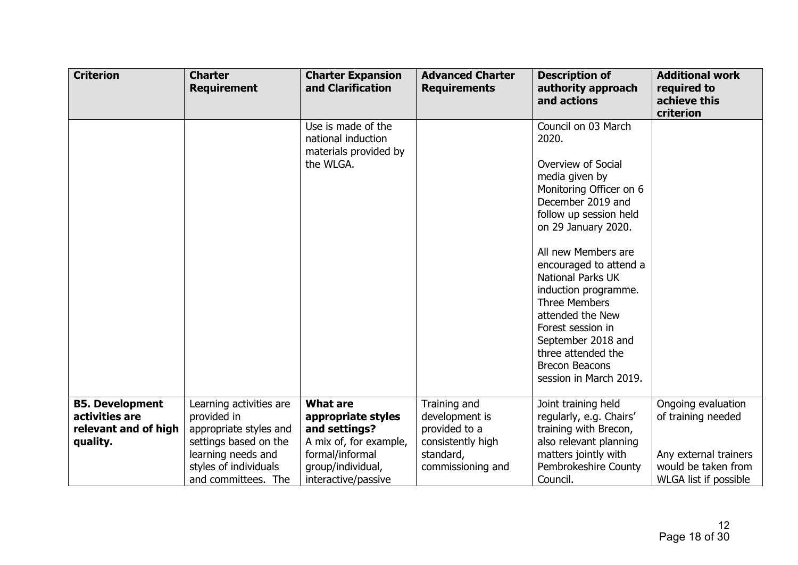| <b>Criterion</b>                                                             | <b>Charter</b><br><b>Requirement</b>                                                      | <b>Charter Expansion</b><br>and Clarification                                    | <b>Advanced Charter</b><br><b>Requirements</b>                       | <b>Description of</b><br>authority approach<br>and actions                                                                                                                                                                                                                                                                                                                                                                                 | <b>Additional work</b><br>required to<br>achieve this<br>criterion           |
|------------------------------------------------------------------------------|-------------------------------------------------------------------------------------------|----------------------------------------------------------------------------------|----------------------------------------------------------------------|--------------------------------------------------------------------------------------------------------------------------------------------------------------------------------------------------------------------------------------------------------------------------------------------------------------------------------------------------------------------------------------------------------------------------------------------|------------------------------------------------------------------------------|
|                                                                              |                                                                                           | Use is made of the<br>national induction<br>materials provided by<br>the WLGA.   |                                                                      | Council on 03 March<br>2020.<br>Overview of Social<br>media given by<br>Monitoring Officer on 6<br>December 2019 and<br>follow up session held<br>on 29 January 2020.<br>All new Members are<br>encouraged to attend a<br><b>National Parks UK</b><br>induction programme.<br><b>Three Members</b><br>attended the New<br>Forest session in<br>September 2018 and<br>three attended the<br><b>Brecon Beacons</b><br>session in March 2019. |                                                                              |
| <b>B5. Development</b><br>activities are<br>relevant and of high<br>quality. | Learning activities are<br>provided in<br>appropriate styles and<br>settings based on the | <b>What are</b><br>appropriate styles<br>and settings?<br>A mix of, for example, | Training and<br>development is<br>provided to a<br>consistently high | Joint training held<br>regularly, e.g. Chairs'<br>training with Brecon,<br>also relevant planning                                                                                                                                                                                                                                                                                                                                          | Ongoing evaluation<br>of training needed                                     |
|                                                                              | learning needs and<br>styles of individuals<br>and committees. The                        | formal/informal<br>group/individual,<br>interactive/passive                      | standard,<br>commissioning and                                       | matters jointly with<br>Pembrokeshire County<br>Council.                                                                                                                                                                                                                                                                                                                                                                                   | Any external trainers<br>would be taken from<br><b>WLGA list if possible</b> |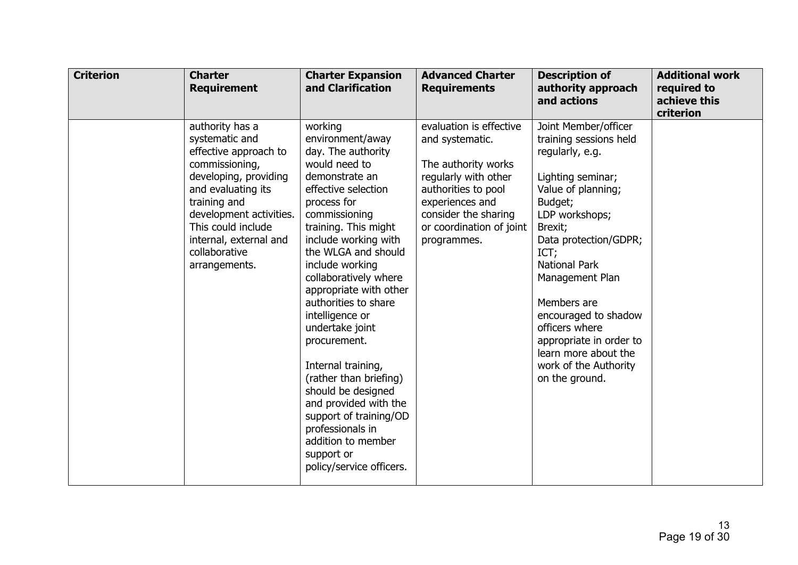| <b>Criterion</b> | <b>Charter</b><br><b>Requirement</b>                                                                                                                                                                                                                     | <b>Charter Expansion</b><br>and Clarification                                                                                                                                                                                                                                                                                                                                                                                                                                                                                                                                       | <b>Advanced Charter</b><br><b>Requirements</b>                                                                                                                                                         | <b>Description of</b><br>authority approach<br>and actions                                                                                                                                                                                                                                                                                                                              | <b>Additional work</b><br>required to<br>achieve this<br>criterion |
|------------------|----------------------------------------------------------------------------------------------------------------------------------------------------------------------------------------------------------------------------------------------------------|-------------------------------------------------------------------------------------------------------------------------------------------------------------------------------------------------------------------------------------------------------------------------------------------------------------------------------------------------------------------------------------------------------------------------------------------------------------------------------------------------------------------------------------------------------------------------------------|--------------------------------------------------------------------------------------------------------------------------------------------------------------------------------------------------------|-----------------------------------------------------------------------------------------------------------------------------------------------------------------------------------------------------------------------------------------------------------------------------------------------------------------------------------------------------------------------------------------|--------------------------------------------------------------------|
|                  | authority has a<br>systematic and<br>effective approach to<br>commissioning,<br>developing, providing<br>and evaluating its<br>training and<br>development activities.<br>This could include<br>internal, external and<br>collaborative<br>arrangements. | working<br>environment/away<br>day. The authority<br>would need to<br>demonstrate an<br>effective selection<br>process for<br>commissioning<br>training. This might<br>include working with<br>the WLGA and should<br>include working<br>collaboratively where<br>appropriate with other<br>authorities to share<br>intelligence or<br>undertake joint<br>procurement.<br>Internal training,<br>(rather than briefing)<br>should be designed<br>and provided with the<br>support of training/OD<br>professionals in<br>addition to member<br>support or<br>policy/service officers. | evaluation is effective<br>and systematic.<br>The authority works<br>regularly with other<br>authorities to pool<br>experiences and<br>consider the sharing<br>or coordination of joint<br>programmes. | Joint Member/officer<br>training sessions held<br>regularly, e.g.<br>Lighting seminar;<br>Value of planning;<br>Budget;<br>LDP workshops;<br>Brexit;<br>Data protection/GDPR;<br>ICT;<br><b>National Park</b><br>Management Plan<br>Members are<br>encouraged to shadow<br>officers where<br>appropriate in order to<br>learn more about the<br>work of the Authority<br>on the ground. |                                                                    |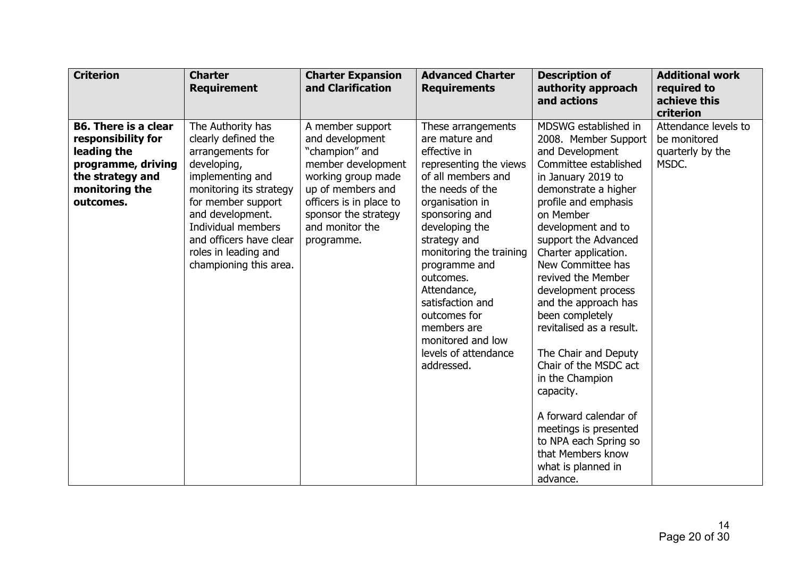| <b>Criterion</b>                                                                                                                          | <b>Charter</b><br><b>Requirement</b>                                                                                                                                                                                                                                    | <b>Charter Expansion</b><br>and Clarification                                                                                                                                                              | <b>Advanced Charter</b><br><b>Requirements</b>                                                                                                                                                                                                                                                                                                                                        | <b>Description of</b><br>authority approach<br>and actions                                                                                                                                                                                                                                                                                                                                                                                                                                                                                                                                                    | <b>Additional work</b><br>required to<br>achieve this<br>criterion |
|-------------------------------------------------------------------------------------------------------------------------------------------|-------------------------------------------------------------------------------------------------------------------------------------------------------------------------------------------------------------------------------------------------------------------------|------------------------------------------------------------------------------------------------------------------------------------------------------------------------------------------------------------|---------------------------------------------------------------------------------------------------------------------------------------------------------------------------------------------------------------------------------------------------------------------------------------------------------------------------------------------------------------------------------------|---------------------------------------------------------------------------------------------------------------------------------------------------------------------------------------------------------------------------------------------------------------------------------------------------------------------------------------------------------------------------------------------------------------------------------------------------------------------------------------------------------------------------------------------------------------------------------------------------------------|--------------------------------------------------------------------|
| <b>B6. There is a clear</b><br>responsibility for<br>leading the<br>programme, driving<br>the strategy and<br>monitoring the<br>outcomes. | The Authority has<br>clearly defined the<br>arrangements for<br>developing,<br>implementing and<br>monitoring its strategy<br>for member support<br>and development.<br>Individual members<br>and officers have clear<br>roles in leading and<br>championing this area. | A member support<br>and development<br>"champion" and<br>member development<br>working group made<br>up of members and<br>officers is in place to<br>sponsor the strategy<br>and monitor the<br>programme. | These arrangements<br>are mature and<br>effective in<br>representing the views<br>of all members and<br>the needs of the<br>organisation in<br>sponsoring and<br>developing the<br>strategy and<br>monitoring the training<br>programme and<br>outcomes.<br>Attendance,<br>satisfaction and<br>outcomes for<br>members are<br>monitored and low<br>levels of attendance<br>addressed. | MDSWG established in<br>2008. Member Support<br>and Development<br>Committee established<br>in January 2019 to<br>demonstrate a higher<br>profile and emphasis<br>on Member<br>development and to<br>support the Advanced<br>Charter application.<br>New Committee has<br>revived the Member<br>development process<br>and the approach has<br>been completely<br>revitalised as a result.<br>The Chair and Deputy<br>Chair of the MSDC act<br>in the Champion<br>capacity.<br>A forward calendar of<br>meetings is presented<br>to NPA each Spring so<br>that Members know<br>what is planned in<br>advance. | Attendance levels to<br>be monitored<br>quarterly by the<br>MSDC.  |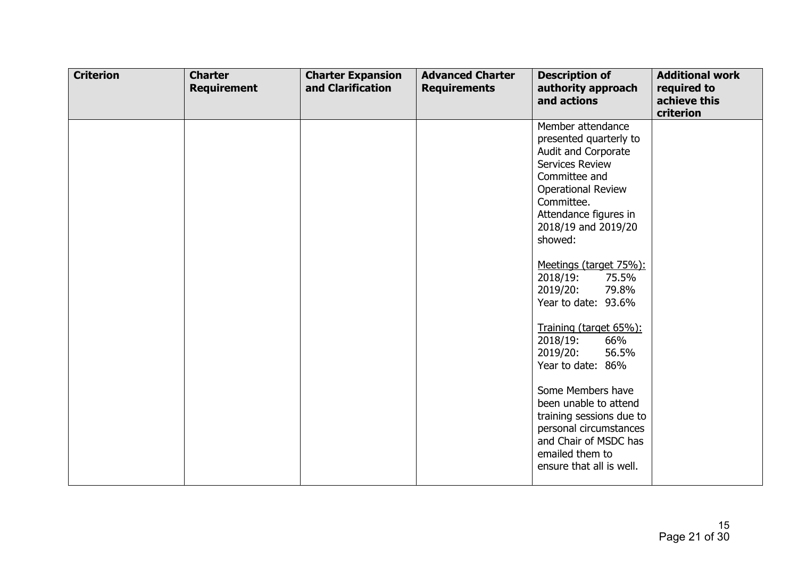| <b>Criterion</b> | <b>Charter</b><br><b>Requirement</b> | <b>Charter Expansion</b><br>and Clarification | <b>Advanced Charter</b><br><b>Requirements</b> | <b>Description of</b><br>authority approach<br>and actions                                                                                                                                                                                                                                                                                                                                                                                                                                                                                                                        | <b>Additional work</b><br>required to<br>achieve this<br>criterion |
|------------------|--------------------------------------|-----------------------------------------------|------------------------------------------------|-----------------------------------------------------------------------------------------------------------------------------------------------------------------------------------------------------------------------------------------------------------------------------------------------------------------------------------------------------------------------------------------------------------------------------------------------------------------------------------------------------------------------------------------------------------------------------------|--------------------------------------------------------------------|
|                  |                                      |                                               |                                                | Member attendance<br>presented quarterly to<br>Audit and Corporate<br><b>Services Review</b><br>Committee and<br><b>Operational Review</b><br>Committee.<br>Attendance figures in<br>2018/19 and 2019/20<br>showed:<br>Meetings (target 75%):<br>2018/19:<br>75.5%<br>2019/20:<br>79.8%<br>Year to date: 93.6%<br>Training (target 65%):<br>2018/19:<br>66%<br>2019/20:<br>56.5%<br>Year to date: 86%<br>Some Members have<br>been unable to attend<br>training sessions due to<br>personal circumstances<br>and Chair of MSDC has<br>emailed them to<br>ensure that all is well. |                                                                    |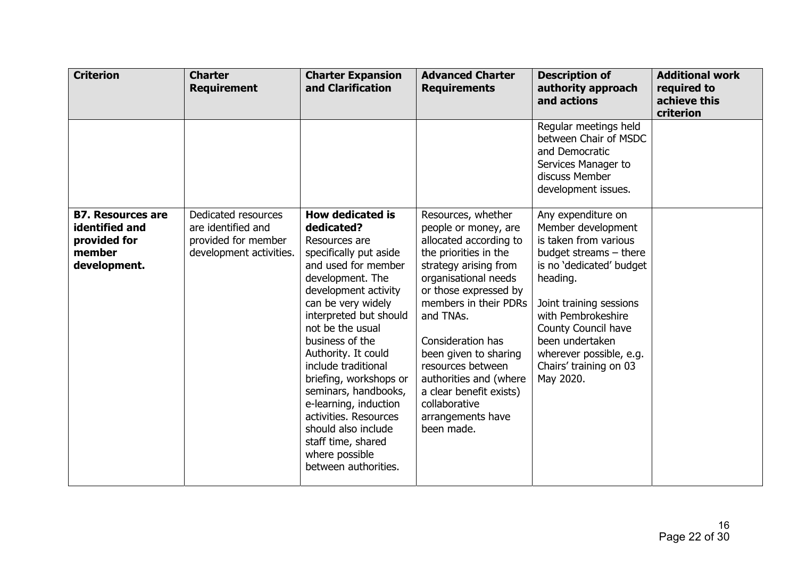| <b>Criterion</b>                                                                     | <b>Charter</b><br><b>Requirement</b>                                                        | <b>Charter Expansion</b><br>and Clarification                                                                                                                                                                                                                                                                                                                                                                                                                                       | <b>Advanced Charter</b><br><b>Requirements</b>                                                                                                                                                                                                                                                                                                                                            | <b>Description of</b><br>authority approach<br>and actions                                                                                                                                                                                                                                         | <b>Additional work</b><br>required to<br>achieve this<br>criterion |
|--------------------------------------------------------------------------------------|---------------------------------------------------------------------------------------------|-------------------------------------------------------------------------------------------------------------------------------------------------------------------------------------------------------------------------------------------------------------------------------------------------------------------------------------------------------------------------------------------------------------------------------------------------------------------------------------|-------------------------------------------------------------------------------------------------------------------------------------------------------------------------------------------------------------------------------------------------------------------------------------------------------------------------------------------------------------------------------------------|----------------------------------------------------------------------------------------------------------------------------------------------------------------------------------------------------------------------------------------------------------------------------------------------------|--------------------------------------------------------------------|
|                                                                                      |                                                                                             |                                                                                                                                                                                                                                                                                                                                                                                                                                                                                     |                                                                                                                                                                                                                                                                                                                                                                                           | Regular meetings held<br>between Chair of MSDC<br>and Democratic<br>Services Manager to<br>discuss Member<br>development issues.                                                                                                                                                                   |                                                                    |
| <b>B7. Resources are</b><br>identified and<br>provided for<br>member<br>development. | Dedicated resources<br>are identified and<br>provided for member<br>development activities. | <b>How dedicated is</b><br>dedicated?<br>Resources are<br>specifically put aside<br>and used for member<br>development. The<br>development activity<br>can be very widely<br>interpreted but should<br>not be the usual<br>business of the<br>Authority. It could<br>include traditional<br>briefing, workshops or<br>seminars, handbooks,<br>e-learning, induction<br>activities. Resources<br>should also include<br>staff time, shared<br>where possible<br>between authorities. | Resources, whether<br>people or money, are<br>allocated according to<br>the priorities in the<br>strategy arising from<br>organisational needs<br>or those expressed by<br>members in their PDRs<br>and TNAs.<br>Consideration has<br>been given to sharing<br>resources between<br>authorities and (where<br>a clear benefit exists)<br>collaborative<br>arrangements have<br>been made. | Any expenditure on<br>Member development<br>is taken from various<br>budget streams $-$ there<br>is no 'dedicated' budget<br>heading.<br>Joint training sessions<br>with Pembrokeshire<br>County Council have<br>been undertaken<br>wherever possible, e.g.<br>Chairs' training on 03<br>May 2020. |                                                                    |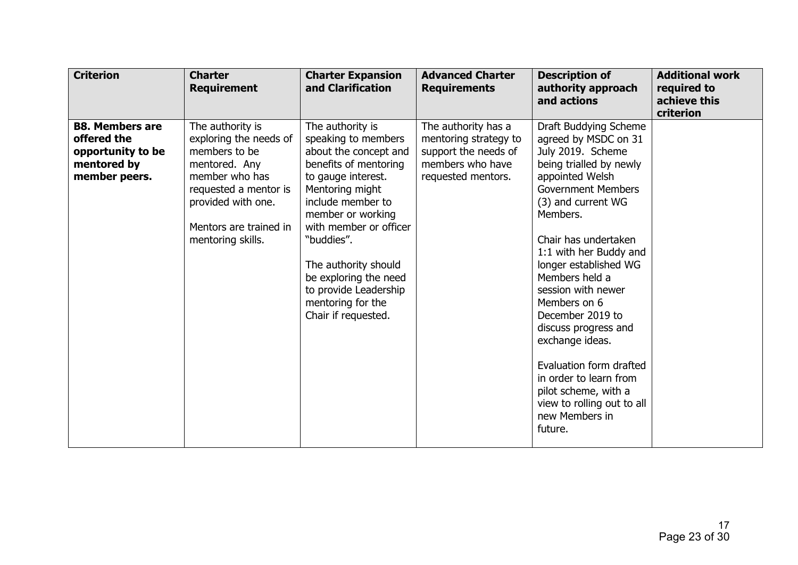| <b>Criterion</b>                                                                           | <b>Charter</b><br><b>Requirement</b>                                                                                                                                                         | <b>Charter Expansion</b><br>and Clarification                                                                                                                                                                                                                                                                                              | <b>Advanced Charter</b><br><b>Requirements</b>                                                                 | <b>Description of</b><br>authority approach<br>and actions                                                                                                                                                                                                                                                                                                                                                                                                                                                                | <b>Additional work</b><br>required to<br>achieve this<br>criterion |
|--------------------------------------------------------------------------------------------|----------------------------------------------------------------------------------------------------------------------------------------------------------------------------------------------|--------------------------------------------------------------------------------------------------------------------------------------------------------------------------------------------------------------------------------------------------------------------------------------------------------------------------------------------|----------------------------------------------------------------------------------------------------------------|---------------------------------------------------------------------------------------------------------------------------------------------------------------------------------------------------------------------------------------------------------------------------------------------------------------------------------------------------------------------------------------------------------------------------------------------------------------------------------------------------------------------------|--------------------------------------------------------------------|
| <b>B8. Members are</b><br>offered the<br>opportunity to be<br>mentored by<br>member peers. | The authority is<br>exploring the needs of<br>members to be<br>mentored. Any<br>member who has<br>requested a mentor is<br>provided with one.<br>Mentors are trained in<br>mentoring skills. | The authority is<br>speaking to members<br>about the concept and<br>benefits of mentoring<br>to gauge interest.<br>Mentoring might<br>include member to<br>member or working<br>with member or officer<br>"buddies".<br>The authority should<br>be exploring the need<br>to provide Leadership<br>mentoring for the<br>Chair if requested. | The authority has a<br>mentoring strategy to<br>support the needs of<br>members who have<br>requested mentors. | Draft Buddying Scheme<br>agreed by MSDC on 31<br>July 2019. Scheme<br>being trialled by newly<br>appointed Welsh<br><b>Government Members</b><br>(3) and current WG<br>Members.<br>Chair has undertaken<br>1:1 with her Buddy and<br>longer established WG<br>Members held a<br>session with newer<br>Members on 6<br>December 2019 to<br>discuss progress and<br>exchange ideas.<br>Evaluation form drafted<br>in order to learn from<br>pilot scheme, with a<br>view to rolling out to all<br>new Members in<br>future. |                                                                    |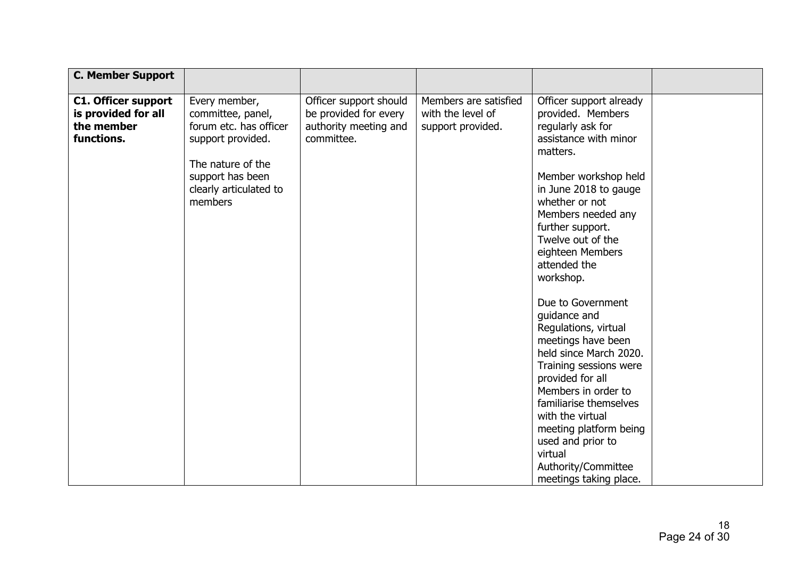| <b>C. Member Support</b>                                                      |                                                                                                                                                                 |                                                                                        |                                                                 |                                                                                                                                                                                                                                                                                                                                         |  |
|-------------------------------------------------------------------------------|-----------------------------------------------------------------------------------------------------------------------------------------------------------------|----------------------------------------------------------------------------------------|-----------------------------------------------------------------|-----------------------------------------------------------------------------------------------------------------------------------------------------------------------------------------------------------------------------------------------------------------------------------------------------------------------------------------|--|
| <b>C1. Officer support</b><br>is provided for all<br>the member<br>functions. | Every member,<br>committee, panel,<br>forum etc. has officer<br>support provided.<br>The nature of the<br>support has been<br>clearly articulated to<br>members | Officer support should<br>be provided for every<br>authority meeting and<br>committee. | Members are satisfied<br>with the level of<br>support provided. | Officer support already<br>provided. Members<br>regularly ask for<br>assistance with minor<br>matters.<br>Member workshop held<br>in June 2018 to gauge<br>whether or not<br>Members needed any<br>further support.<br>Twelve out of the<br>eighteen Members<br>attended the<br>workshop.                                               |  |
|                                                                               |                                                                                                                                                                 |                                                                                        |                                                                 | Due to Government<br>guidance and<br>Regulations, virtual<br>meetings have been<br>held since March 2020.<br>Training sessions were<br>provided for all<br>Members in order to<br>familiarise themselves<br>with the virtual<br>meeting platform being<br>used and prior to<br>virtual<br>Authority/Committee<br>meetings taking place. |  |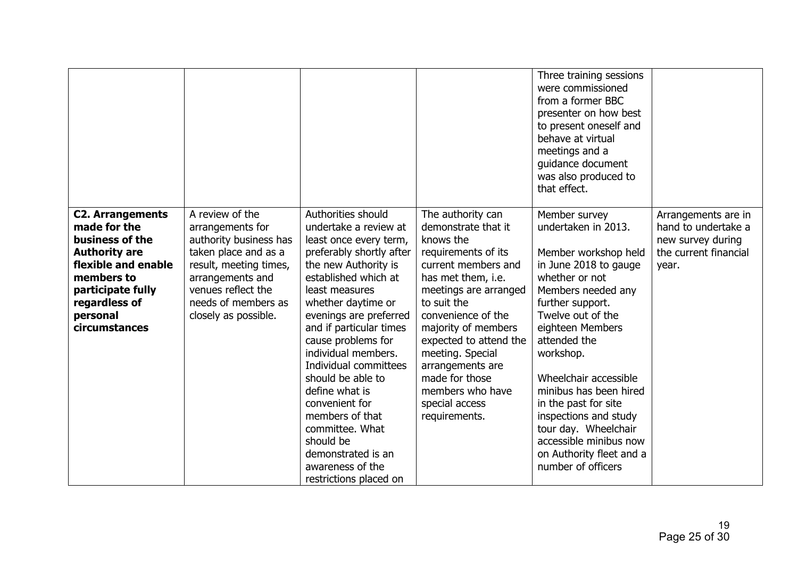|                                                                                                                                                                                            |                                                                                                                                                                                                          |                                                                                                                                                                                                                                                                                                                                                                                                                                                                                                      |                                                                                                                                                                                                                                                                                                                                                           | Three training sessions<br>were commissioned<br>from a former BBC<br>presenter on how best<br>to present oneself and<br>behave at virtual<br>meetings and a<br>guidance document<br>was also produced to<br>that effect.                                                                                                                                                                                                        |                                                                                                   |
|--------------------------------------------------------------------------------------------------------------------------------------------------------------------------------------------|----------------------------------------------------------------------------------------------------------------------------------------------------------------------------------------------------------|------------------------------------------------------------------------------------------------------------------------------------------------------------------------------------------------------------------------------------------------------------------------------------------------------------------------------------------------------------------------------------------------------------------------------------------------------------------------------------------------------|-----------------------------------------------------------------------------------------------------------------------------------------------------------------------------------------------------------------------------------------------------------------------------------------------------------------------------------------------------------|---------------------------------------------------------------------------------------------------------------------------------------------------------------------------------------------------------------------------------------------------------------------------------------------------------------------------------------------------------------------------------------------------------------------------------|---------------------------------------------------------------------------------------------------|
| <b>C2. Arrangements</b><br>made for the<br>business of the<br><b>Authority are</b><br>flexible and enable<br>members to<br>participate fully<br>regardless of<br>personal<br>circumstances | A review of the<br>arrangements for<br>authority business has<br>taken place and as a<br>result, meeting times,<br>arrangements and<br>venues reflect the<br>needs of members as<br>closely as possible. | Authorities should<br>undertake a review at<br>least once every term,<br>preferably shortly after<br>the new Authority is<br>established which at<br>least measures<br>whether daytime or<br>evenings are preferred<br>and if particular times<br>cause problems for<br>individual members.<br>Individual committees<br>should be able to<br>define what is<br>convenient for<br>members of that<br>committee. What<br>should be<br>demonstrated is an<br>awareness of the<br>restrictions placed on | The authority can<br>demonstrate that it<br>knows the<br>requirements of its<br>current members and<br>has met them, i.e.<br>meetings are arranged<br>to suit the<br>convenience of the<br>majority of members<br>expected to attend the<br>meeting. Special<br>arrangements are<br>made for those<br>members who have<br>special access<br>requirements. | Member survey<br>undertaken in 2013.<br>Member workshop held<br>in June 2018 to gauge<br>whether or not<br>Members needed any<br>further support.<br>Twelve out of the<br>eighteen Members<br>attended the<br>workshop.<br>Wheelchair accessible<br>minibus has been hired<br>in the past for site<br>inspections and study<br>tour day. Wheelchair<br>accessible minibus now<br>on Authority fleet and a<br>number of officers | Arrangements are in<br>hand to undertake a<br>new survey during<br>the current financial<br>year. |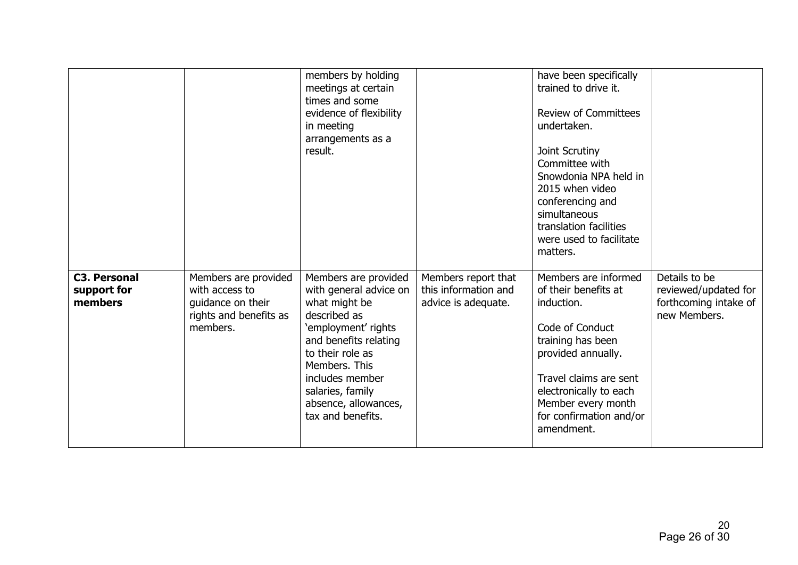|                                               |                                                                                                   | members by holding<br>meetings at certain<br>times and some<br>evidence of flexibility<br>in meeting<br>arrangements as a<br>result.                                                                                                                     |                                                                    | have been specifically<br>trained to drive it.<br><b>Review of Committees</b><br>undertaken.<br>Joint Scrutiny<br>Committee with<br>Snowdonia NPA held in<br>2015 when video<br>conferencing and<br>simultaneous<br>translation facilities<br>were used to facilitate<br>matters. |                                                                                |
|-----------------------------------------------|---------------------------------------------------------------------------------------------------|----------------------------------------------------------------------------------------------------------------------------------------------------------------------------------------------------------------------------------------------------------|--------------------------------------------------------------------|-----------------------------------------------------------------------------------------------------------------------------------------------------------------------------------------------------------------------------------------------------------------------------------|--------------------------------------------------------------------------------|
| <b>C3. Personal</b><br>support for<br>members | Members are provided<br>with access to<br>guidance on their<br>rights and benefits as<br>members. | Members are provided<br>with general advice on<br>what might be<br>described as<br>'employment' rights<br>and benefits relating<br>to their role as<br>Members. This<br>includes member<br>salaries, family<br>absence, allowances,<br>tax and benefits. | Members report that<br>this information and<br>advice is adequate. | Members are informed<br>of their benefits at<br>induction.<br>Code of Conduct<br>training has been<br>provided annually.<br>Travel claims are sent<br>electronically to each<br>Member every month<br>for confirmation and/or<br>amendment.                                       | Details to be<br>reviewed/updated for<br>forthcoming intake of<br>new Members. |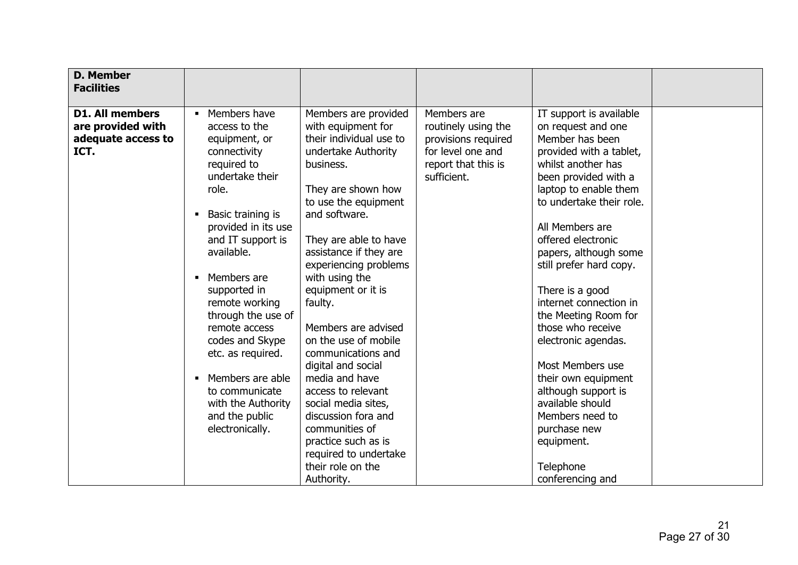| <b>D. Member</b><br><b>Facilities</b>                                     |                                                                                                                                                                                                                               |                                                                                                                                                                                                                                                                                                                                       |                                                                                                                      |                                                                                                                                                                                                                                                                                             |  |
|---------------------------------------------------------------------------|-------------------------------------------------------------------------------------------------------------------------------------------------------------------------------------------------------------------------------|---------------------------------------------------------------------------------------------------------------------------------------------------------------------------------------------------------------------------------------------------------------------------------------------------------------------------------------|----------------------------------------------------------------------------------------------------------------------|---------------------------------------------------------------------------------------------------------------------------------------------------------------------------------------------------------------------------------------------------------------------------------------------|--|
| <b>D1. All members</b><br>are provided with<br>adequate access to<br>ICT. | Members have<br>access to the<br>equipment, or<br>connectivity<br>required to<br>undertake their<br>role.<br>Basic training is<br>provided in its use<br>and IT support is<br>available.                                      | Members are provided<br>with equipment for<br>their individual use to<br>undertake Authority<br>business.<br>They are shown how<br>to use the equipment<br>and software.<br>They are able to have<br>assistance if they are<br>experiencing problems                                                                                  | Members are<br>routinely using the<br>provisions required<br>for level one and<br>report that this is<br>sufficient. | IT support is available<br>on request and one<br>Member has been<br>provided with a tablet,<br>whilst another has<br>been provided with a<br>laptop to enable them<br>to undertake their role.<br>All Members are<br>offered electronic<br>papers, although some<br>still prefer hard copy. |  |
|                                                                           | Members are<br>supported in<br>remote working<br>through the use of<br>remote access<br>codes and Skype<br>etc. as required.<br>Members are able<br>to communicate<br>with the Authority<br>and the public<br>electronically. | with using the<br>equipment or it is<br>faulty.<br>Members are advised<br>on the use of mobile<br>communications and<br>digital and social<br>media and have<br>access to relevant<br>social media sites,<br>discussion fora and<br>communities of<br>practice such as is<br>required to undertake<br>their role on the<br>Authority. |                                                                                                                      | There is a good<br>internet connection in<br>the Meeting Room for<br>those who receive<br>electronic agendas.<br>Most Members use<br>their own equipment<br>although support is<br>available should<br>Members need to<br>purchase new<br>equipment.<br>Telephone<br>conferencing and       |  |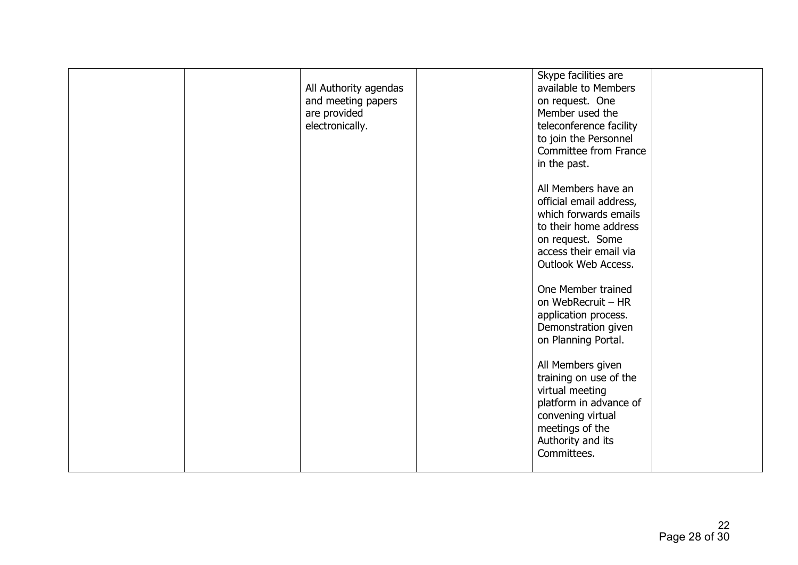| All Authority agendas<br>and meeting papers<br>are provided<br>electronically. | Skype facilities are<br>available to Members<br>on request. One<br>Member used the<br>teleconference facility<br>to join the Personnel<br>Committee from France<br>in the past. |  |
|--------------------------------------------------------------------------------|---------------------------------------------------------------------------------------------------------------------------------------------------------------------------------|--|
|                                                                                | All Members have an<br>official email address,<br>which forwards emails<br>to their home address<br>on request. Some<br>access their email via<br>Outlook Web Access.           |  |
|                                                                                | One Member trained<br>on WebRecruit - HR<br>application process.<br>Demonstration given<br>on Planning Portal.                                                                  |  |
|                                                                                | All Members given<br>training on use of the<br>virtual meeting<br>platform in advance of<br>convening virtual<br>meetings of the<br>Authority and its<br>Committees.            |  |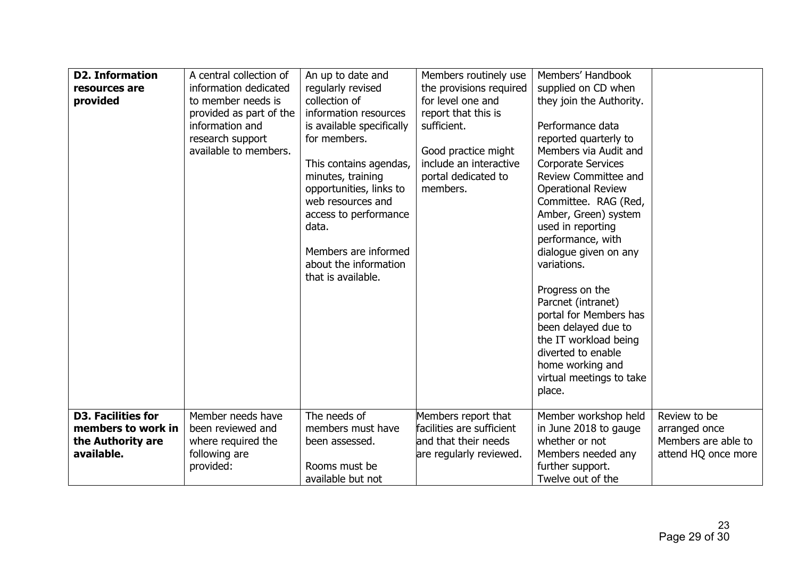| <b>D2. Information</b><br>resources are<br>provided                                | A central collection of<br>information dedicated<br>to member needs is<br>provided as part of the<br>information and<br>research support<br>available to members. | An up to date and<br>regularly revised<br>collection of<br>information resources<br>is available specifically<br>for members.<br>This contains agendas,<br>minutes, training<br>opportunities, links to<br>web resources and<br>access to performance<br>data.<br>Members are informed<br>about the information<br>that is available. | Members routinely use<br>the provisions required<br>for level one and<br>report that this is<br>sufficient.<br>Good practice might<br>include an interactive<br>portal dedicated to<br>members. | Members' Handbook<br>supplied on CD when<br>they join the Authority.<br>Performance data<br>reported quarterly to<br>Members via Audit and<br><b>Corporate Services</b><br>Review Committee and<br><b>Operational Review</b><br>Committee. RAG (Red,<br>Amber, Green) system<br>used in reporting<br>performance, with<br>dialogue given on any<br>variations.<br>Progress on the<br>Parcnet (intranet)<br>portal for Members has<br>been delayed due to<br>the IT workload being<br>diverted to enable<br>home working and<br>virtual meetings to take<br>place. |                                                                             |
|------------------------------------------------------------------------------------|-------------------------------------------------------------------------------------------------------------------------------------------------------------------|---------------------------------------------------------------------------------------------------------------------------------------------------------------------------------------------------------------------------------------------------------------------------------------------------------------------------------------|-------------------------------------------------------------------------------------------------------------------------------------------------------------------------------------------------|-------------------------------------------------------------------------------------------------------------------------------------------------------------------------------------------------------------------------------------------------------------------------------------------------------------------------------------------------------------------------------------------------------------------------------------------------------------------------------------------------------------------------------------------------------------------|-----------------------------------------------------------------------------|
| <b>D3. Facilities for</b><br>members to work in<br>the Authority are<br>available. | Member needs have<br>been reviewed and<br>where required the<br>following are<br>provided:                                                                        | The needs of<br>members must have<br>been assessed.<br>Rooms must be<br>available but not                                                                                                                                                                                                                                             | Members report that<br>facilities are sufficient<br>and that their needs<br>are regularly reviewed.                                                                                             | Member workshop held<br>in June 2018 to gauge<br>whether or not<br>Members needed any<br>further support.<br>Twelve out of the                                                                                                                                                                                                                                                                                                                                                                                                                                    | Review to be<br>arranged once<br>Members are able to<br>attend HQ once more |